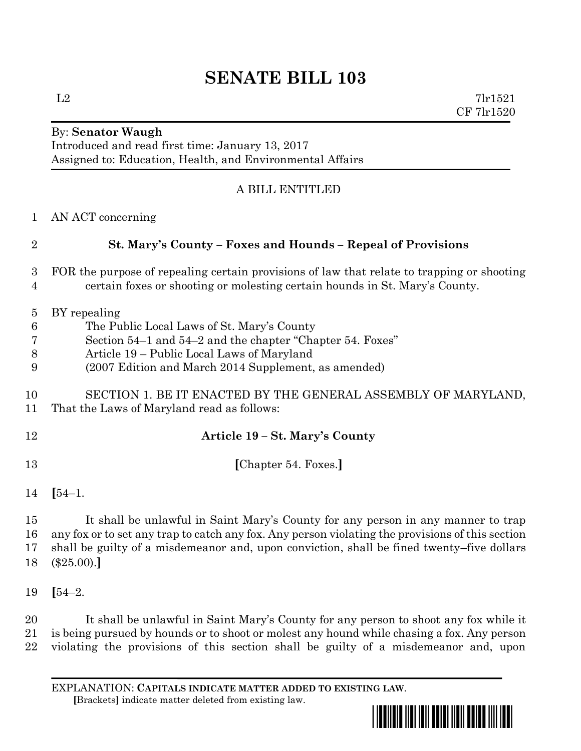## **SENATE BILL 103**

 $L2$  7lr1521 CF 7lr1520

## By: **Senator Waugh** Introduced and read first time: January 13, 2017 Assigned to: Education, Health, and Environmental Affairs

## A BILL ENTITLED

| 1                                                | AN ACT concerning                                                                                                                                                                                                             |
|--------------------------------------------------|-------------------------------------------------------------------------------------------------------------------------------------------------------------------------------------------------------------------------------|
| $\overline{2}$                                   | St. Mary's County – Foxes and Hounds – Repeal of Provisions                                                                                                                                                                   |
| 3<br>4                                           | FOR the purpose of repealing certain provisions of law that relate to trapping or shooting<br>certain foxes or shooting or molesting certain hounds in St. Mary's County.                                                     |
| $\overline{5}$<br>$6\phantom{.}6$<br>7<br>8<br>9 | BY repealing<br>The Public Local Laws of St. Mary's County<br>Section 54–1 and 54–2 and the chapter "Chapter 54. Foxes"<br>Article 19 – Public Local Laws of Maryland<br>(2007 Edition and March 2014 Supplement, as amended) |
| 10<br>11                                         | SECTION 1. BE IT ENACTED BY THE GENERAL ASSEMBLY OF MARYLAND,<br>That the Laws of Maryland read as follows:                                                                                                                   |
| 12                                               | Article 19 – St. Mary's County                                                                                                                                                                                                |
| 13                                               | [Chapter 54. Foxes.]                                                                                                                                                                                                          |
| 14                                               | $[54-1.$                                                                                                                                                                                                                      |
| 15                                               | It shall be unlawful in Saint Mary's County for any person in any manner to trap                                                                                                                                              |

 any fox or to set any trap to catch any fox. Any person violating the provisions of this section shall be guilty of a misdemeanor and, upon conviction, shall be fined twenty–five dollars (\$25.00).**]**

**[**54–2.

 It shall be unlawful in Saint Mary's County for any person to shoot any fox while it is being pursued by hounds or to shoot or molest any hound while chasing a fox. Any person violating the provisions of this section shall be guilty of a misdemeanor and, upon

EXPLANATION: **CAPITALS INDICATE MATTER ADDED TO EXISTING LAW**.  **[**Brackets**]** indicate matter deleted from existing law.